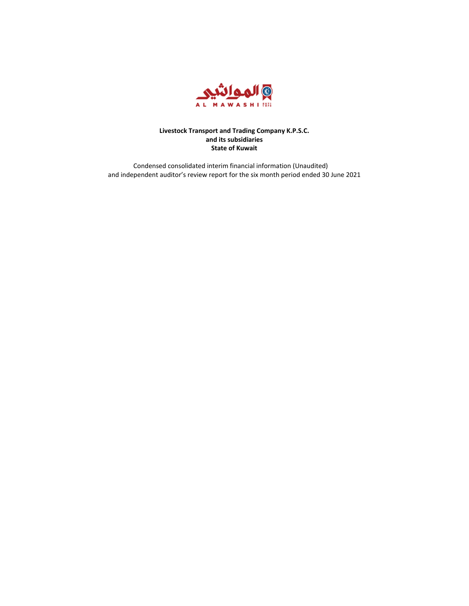

Condensed consolidated interim financial information (Unaudited) and independent auditor's review report for the six month period ended 30 June 2021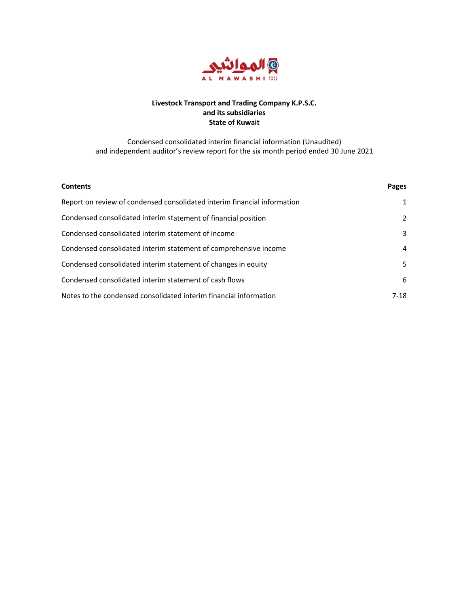

Condensed consolidated interim financial information (Unaudited) and independent auditor's review report for the six month period ended 30 June 2021

| <b>Contents</b>                                                          | Pages |
|--------------------------------------------------------------------------|-------|
| Report on review of condensed consolidated interim financial information | 1     |
| Condensed consolidated interim statement of financial position           | 2     |
| Condensed consolidated interim statement of income                       | 3     |
| Condensed consolidated interim statement of comprehensive income         | 4     |
| Condensed consolidated interim statement of changes in equity            | 5     |
| Condensed consolidated interim statement of cash flows                   | 6     |
| Notes to the condensed consolidated interim financial information        | 7-18  |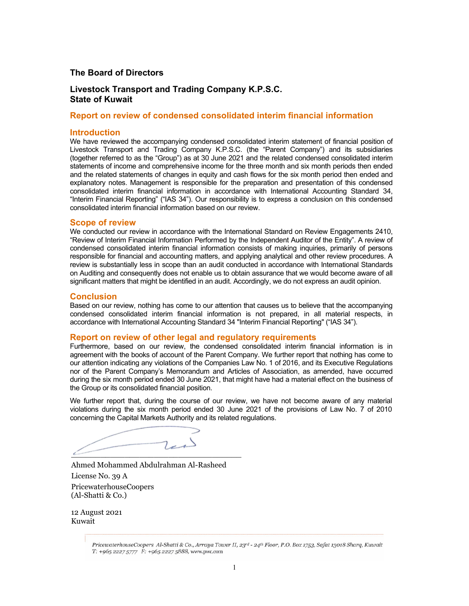### **The Board of Directors**

## **Livestock Transport and Trading Company K.P.S.C. State of Kuwait**

## **Report on review of condensed consolidated interim financial information**

### **Introduction**

We have reviewed the accompanying condensed consolidated interim statement of financial position of Livestock Transport and Trading Company K.P.S.C. (the "Parent Company") and its subsidiaries (together referred to as the "Group") as at 30 June 2021 and the related condensed consolidated interim statements of income and comprehensive income for the three month and six month periods then ended and the related statements of changes in equity and cash flows for the six month period then ended and explanatory notes. Management is responsible for the preparation and presentation of this condensed consolidated interim financial information in accordance with International Accounting Standard 34, "Interim Financial Reporting" ("IAS 34"). Our responsibility is to express a conclusion on this condensed consolidated interim financial information based on our review.

### **Scope of review**

We conducted our review in accordance with the International Standard on Review Engagements 2410, "Review of Interim Financial Information Performed by the Independent Auditor of the Entity". A review of condensed consolidated interim financial information consists of making inquiries, primarily of persons responsible for financial and accounting matters, and applying analytical and other review procedures. A review is substantially less in scope than an audit conducted in accordance with International Standards on Auditing and consequently does not enable us to obtain assurance that we would become aware of all significant matters that might be identified in an audit. Accordingly, we do not express an audit opinion.

### **Conclusion**

Based on our review, nothing has come to our attention that causes us to believe that the accompanying condensed consolidated interim financial information is not prepared, in all material respects, in accordance with International Accounting Standard 34 "Interim Financial Reporting" ("IAS 34").

### **Report on review of other legal and regulatory requirements**

Furthermore, based on our review, the condensed consolidated interim financial information is in agreement with the books of account of the Parent Company. We further report that nothing has come to our attention indicating any violations of the Companies Law No. 1 of 2016, and its Executive Regulations nor of the Parent Company's Memorandum and Articles of Association, as amended, have occurred during the six month period ended 30 June 2021, that might have had a material effect on the business of the Group or its consolidated financial position.

We further report that, during the course of our review, we have not become aware of any material violations during the six month period ended 30 June 2021 of the provisions of Law No. 7 of 2010 concerning the Capital Markets Authority and its related regulations.

 $\overline{\phantom{a}}$ 

Ahmed Mohammed Abdulrahman Al-Rasheed License No. 39 A PricewaterhouseCoopers (Al-Shatti & Co.)

12 August 2021 Kuwait

PricewaterhouseCoopers Al-Shatti & Co., Arraya Tower II, 23rd - 24th Floor, P.O. Box 1753, Safat 13018 Sharq, Kuwait T: +965 2227 5777 F: +965 2227 5888, www.pwc.com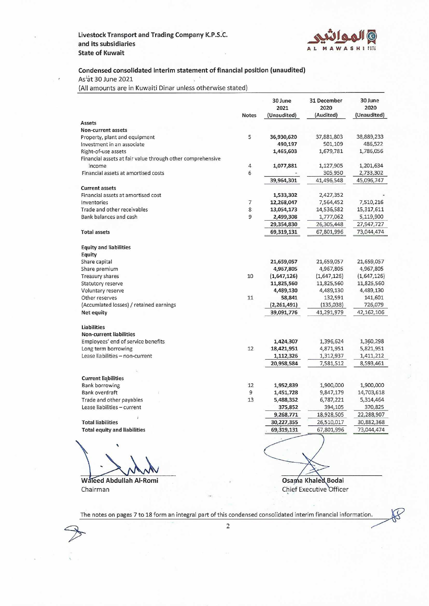

 $\mathcal{B}% _{0}=\mathcal{A}_{\mathrm{CL}}\times\mathcal{A}_{\mathrm{CL}}$ 

### Condensed consolidated interim statement of financial position (unaudited) s.

As'at 30 June 2021

(All amounts are in Kuwaiti Dinar unless otherwise stated)

|                                                                      | <b>Notes</b>             | 30 June<br>2021<br>(Unaudited) | 31 December<br>2020<br>(Audited) | 30 June<br>2020<br>(Unaudited) |
|----------------------------------------------------------------------|--------------------------|--------------------------------|----------------------------------|--------------------------------|
| Assets                                                               |                          |                                |                                  |                                |
| Non-current assets                                                   |                          |                                |                                  |                                |
| Property, plant and equipment                                        | 5                        | 36,930,620                     | 37,881,803                       | 38,889,233                     |
| Investment in an associate                                           |                          | 490,197                        | 501,109                          | 486,522                        |
| Right-of-use assets                                                  |                          | 1,465,603                      | 1,679,781                        | 1,786,056                      |
| Financial assets at fair value through other comprehensive<br>income | $\sqrt{4}$               | 1,077,881                      | 1,127,905                        | 1,201,634                      |
| Financial assets at amortised costs                                  | 6                        |                                | 305,950                          | 2,733,302                      |
|                                                                      |                          | 39,964,301                     | 41,496,548                       | 45,096,747                     |
| <b>Current assets</b>                                                |                          |                                |                                  |                                |
| Financial assets at amortised cost                                   |                          | 1,533,302                      | 2,427,352                        |                                |
| Inventories                                                          | $\overline{\phantom{a}}$ | 12,268,047                     | 7,564,452                        | 7,510,216                      |
| Trade and other receivables                                          | 8                        | 13,054,173                     | 14,536,582                       | 15,317,611                     |
| Bank balances and cash                                               | 9                        | 2,499,308                      | 1,777,062                        | 5,119,900                      |
|                                                                      |                          | 29,354,830                     | 26,305,448                       | 27,947,727                     |
| <b>Total assets</b>                                                  |                          | 69,319,131                     | 67,801,996                       | 73,044,474                     |
|                                                                      |                          |                                |                                  |                                |
| <b>Equity and liabilities</b>                                        |                          |                                |                                  |                                |
| Equity                                                               |                          |                                |                                  |                                |
| Share capital                                                        |                          | 21,659,057                     | 21,659,057                       | 21,659,057                     |
| Share premium                                                        |                          | 4,967,805                      | 4,967,805                        | 4,967,805                      |
| Treasury shares                                                      | 10                       | (1,647,126)                    | (1,647,126)                      | (1,647,126)                    |
| Statutory reserve                                                    |                          | 11,825,560                     | 11,825,560                       | 11,825,560                     |
| Voluntary reserve                                                    |                          | 4,489,130                      | 4,489,130                        | 4,489,130                      |
| Other reserves                                                       | 11                       | 58,841                         | 132,591                          | 141,601                        |
| (Accumlated losses) / retained earnings                              |                          | (2,261,491)                    | (135,038)                        | 726,079                        |
| Net equity                                                           |                          | 39,091,776                     | 41,291,979                       | 42, 162, 106                   |
| Liabilities                                                          |                          |                                |                                  |                                |
| <b>Non-current liabilities</b>                                       |                          |                                |                                  |                                |
| Employees' end of service benefits                                   |                          | 1,424,307                      | 1,396,624                        | 1,360,298                      |
| Long term borrowing                                                  | 12                       | 18,421,951                     | 4,871,951                        | 5,821,951                      |
| Lease liabilities - non-current                                      |                          | 1,112,326                      | 1,312,937                        | 1,411,212                      |
|                                                                      |                          | 20,958,584                     | 7,581,512                        | 8,593,461                      |
| <b>Current liabilities</b>                                           |                          |                                |                                  |                                |
| <b>Bank borrowing</b>                                                | 12                       | 1,952,839                      | 1,900,000                        | 1,900,000                      |
| Bank overdraft                                                       | 9                        | 1,451,728                      | 9,847,179                        | 14,703,618                     |
| Trade and other payables                                             | 13                       | 5,488,352                      | 6,787,221                        | 5,314,464                      |
| Lease liabilities - current                                          |                          | 375,852                        | 394,105                          | 370,825                        |
|                                                                      |                          | 9,268,771                      | 18,928,505                       | 22,288,907                     |
| <b>Total liabilities</b>                                             |                          | 30,227,355                     | 26,510,017                       | 30,882,368                     |
| <b>Total equity and liabilities</b>                                  |                          | 69,319,131                     | 67,801,996                       | 73,044,474                     |
|                                                                      |                          |                                |                                  |                                |
|                                                                      |                          |                                |                                  |                                |
|                                                                      |                          |                                |                                  |                                |
|                                                                      |                          |                                |                                  |                                |
|                                                                      |                          |                                |                                  |                                |
| Waleed Abdullah Al-Romi                                              |                          |                                | Osama Khaled Bodai               |                                |
|                                                                      |                          |                                | Chief Executive Officer          |                                |
| Chairman                                                             |                          |                                |                                  |                                |

 $\overline{2}$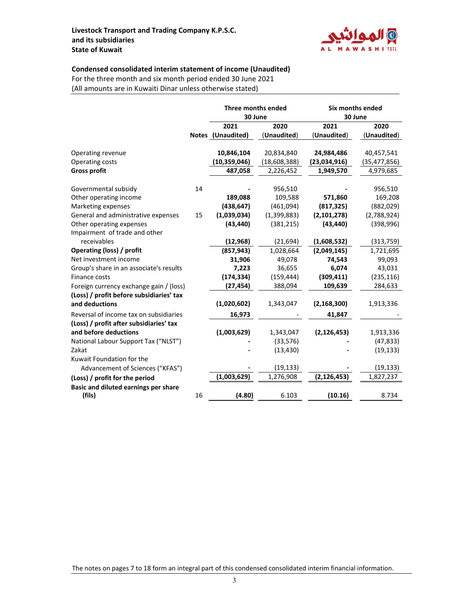

### **Condensed consolidated interim statement of income (Unaudited)**

For the three month and six month period ended 30 June 2021 (All amounts are in Kuwaiti Dinar unless otherwise stated)

|                                                    |    | Three months ended        |              | Six months ended         |                |
|----------------------------------------------------|----|---------------------------|--------------|--------------------------|----------------|
|                                                    |    | 30 June                   |              | 30 June                  |                |
|                                                    |    | 2021                      | 2020         | 2021                     | 2020           |
|                                                    |    | Notes (Unaudited)         | (Unaudited)  | (Unaudited)              | (Unaudited)    |
| Operating revenue                                  |    | 10,846,104                | 20,834,840   | 24,984,486               | 40,457,541     |
| Operating costs                                    |    | (10, 359, 046)            | (18,608,388) | (23,034,916)             | (35, 477, 856) |
| <b>Gross profit</b>                                |    | 487,058                   | 2,226,452    | 1,949,570                | 4,979,685      |
| Governmental subsidy                               | 14 |                           | 956,510      |                          | 956,510        |
| Other operating income                             |    | 189,088                   | 109,588      | 571,860                  |                |
|                                                    |    |                           |              |                          | 169,208        |
| Marketing expenses                                 | 15 | (438, 647)<br>(1,039,034) | (461,094)    | (817, 325)               | (882, 029)     |
| General and administrative expenses                |    | (43, 440)                 | (1,399,883)  | (2,101,278)<br>(43, 440) | (2,788,924)    |
| Other operating expenses                           |    |                           | (381, 215)   |                          | (398, 996)     |
| Impairment of trade and other<br>receivables       |    | (12, 968)                 | (21, 694)    | (1,608,532)              |                |
|                                                    |    |                           |              |                          | (313, 759)     |
| Operating (loss) / profit<br>Net investment income |    | (857, 943)                | 1,028,664    | (2,049,145)              | 1,721,695      |
|                                                    |    | 31,906                    | 49,078       | 74,543                   | 99,093         |
| Group's share in an associate's results            |    | 7,223                     | 36,655       | 6,074                    | 43,031         |
| Finance costs                                      |    | (174, 334)                | (159, 444)   | (309, 411)               | (235, 116)     |
| Foreign currency exchange gain / (loss)            |    | (27, 454)                 | 388,094      | 109,639                  | 284,633        |
| (Loss) / profit before subsidiaries' tax           |    |                           |              |                          |                |
| and deductions                                     |    | (1,020,602)               | 1,343,047    | (2, 168, 300)            | 1,913,336      |
| Reversal of income tax on subsidiaries             |    | 16,973                    |              | 41,847                   |                |
| (Loss) / profit after subsidiaries' tax            |    |                           |              |                          |                |
| and before deductions                              |    | (1,003,629)               | 1,343,047    | (2, 126, 453)            | 1,913,336      |
| National Labour Support Tax ("NLST")               |    |                           | (33, 576)    |                          | (47, 833)      |
| Zakat                                              |    |                           | (13, 430)    |                          | (19, 133)      |
| Kuwait Foundation for the                          |    |                           |              |                          |                |
| Advancement of Sciences ("KFAS")                   |    |                           | (19, 133)    |                          | (19,133)       |
| (Loss) / profit for the period                     |    | (1,003,629)               | 1,276,908    | (2, 126, 453)            | 1,827,237      |
| Basic and diluted earnings per share               |    |                           |              |                          |                |
| (fils)                                             | 16 | (4.80)                    | 6.103        | (10.16)                  | 8.734          |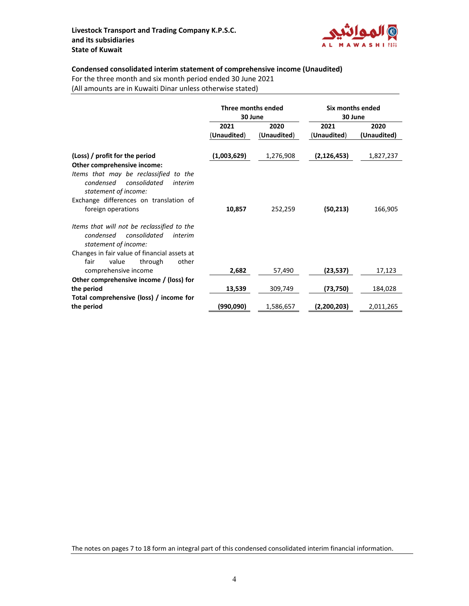

## **Condensed consolidated interim statement of comprehensive income (Unaudited)**

For the three month and six month period ended 30 June 2021

(All amounts are in Kuwaiti Dinar unless otherwise stated)

|                                                                                                                                      | Three months ended<br>30 June |             | Six months ended<br>30 June |             |
|--------------------------------------------------------------------------------------------------------------------------------------|-------------------------------|-------------|-----------------------------|-------------|
|                                                                                                                                      | 2021<br>2020                  |             | 2021                        | 2020        |
|                                                                                                                                      | (Unaudited)                   | (Unaudited) | (Unaudited)                 | (Unaudited) |
| (Loss) / profit for the period                                                                                                       | (1,003,629)                   | 1,276,908   | (2, 126, 453)               | 1,827,237   |
| Other comprehensive income:<br>Items that may be reclassified to the<br>condensed<br>consolidated<br>interim<br>statement of income: |                               |             |                             |             |
| Exchange differences on translation of                                                                                               |                               |             |                             |             |
| foreign operations                                                                                                                   | 10,857                        | 252,259     | (50, 213)                   | 166,905     |
| Items that will not be reclassified to the<br>condensed<br>consolidated<br>interim<br>statement of income:                           |                               |             |                             |             |
| Changes in fair value of financial assets at<br>fair<br>value<br>through<br>other                                                    |                               |             |                             |             |
| comprehensive income                                                                                                                 | 2,682                         | 57,490      | (23, 537)                   | 17,123      |
| Other comprehensive income / (loss) for                                                                                              |                               |             |                             |             |
| the period                                                                                                                           | 13,539                        | 309,749     | (73,750)                    | 184,028     |
| Total comprehensive (loss) / income for                                                                                              |                               |             |                             |             |
| the period                                                                                                                           | (990,090)                     | 1,586,657   | (2,200,203)                 | 2,011,265   |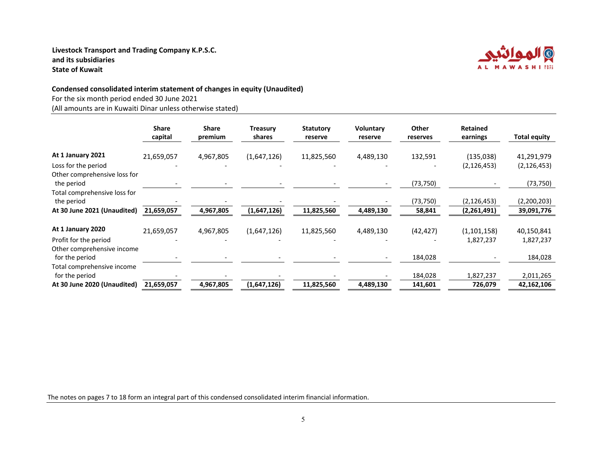

### **Condensed consolidated interim statement of changes in equity (Unaudited)**

For the six month period ended 30 June 2021

(All amounts are in Kuwaiti Dinar unless otherwise stated)

|                                                     | <b>Share</b><br>capital | <b>Share</b><br>premium | <b>Treasury</b><br>shares | <b>Statutory</b><br>reserve | <b>Voluntary</b><br>reserve | Other<br>reserves | <b>Retained</b><br>earnings | <b>Total equity</b> |
|-----------------------------------------------------|-------------------------|-------------------------|---------------------------|-----------------------------|-----------------------------|-------------------|-----------------------------|---------------------|
| At 1 January 2021                                   | 21,659,057              | 4,967,805               | (1,647,126)               | 11,825,560                  | 4,489,130                   | 132,591           | (135, 038)                  | 41,291,979          |
| Loss for the period<br>Other comprehensive loss for |                         |                         |                           |                             |                             |                   | (2, 126, 453)               | (2, 126, 453)       |
| the period                                          |                         |                         |                           |                             |                             | (73, 750)         |                             | (73, 750)           |
| Total comprehensive loss for<br>the period          |                         |                         |                           |                             |                             | (73, 750)         | (2, 126, 453)               | (2,200,203)         |
| At 30 June 2021 (Unaudited)                         | 21,659,057              | 4,967,805               | (1,647,126)               | 11,825,560                  | 4,489,130                   | 58,841            | (2,261,491)                 | 39,091,776          |
| At 1 January 2020                                   | 21,659,057              | 4,967,805               | (1,647,126)               | 11,825,560                  | 4,489,130                   | (42, 427)         | (1, 101, 158)               | 40,150,841          |
| Profit for the period                               |                         |                         |                           |                             |                             |                   | 1,827,237                   | 1,827,237           |
| Other comprehensive income<br>for the period        |                         |                         |                           |                             |                             | 184,028           |                             | 184,028             |
| Total comprehensive income<br>for the period        |                         |                         |                           |                             |                             | 184,028           | 1,827,237                   | 2,011,265           |
| At 30 June 2020 (Unaudited)                         | 21,659,057              | 4,967,805               | (1,647,126)               | 11,825,560                  | 4,489,130                   | 141,601           | 726,079                     | 42,162,106          |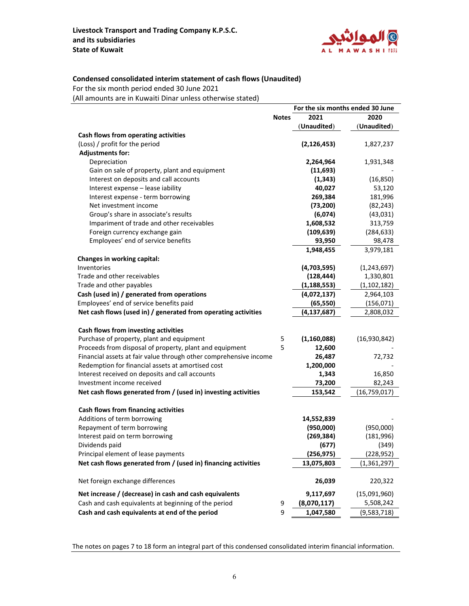

### **Condensed consolidated interim statement of cash flows (Unaudited)**

For the six month period ended 30 June 2021

(All amounts are in Kuwaiti Dinar unless otherwise stated)

| 2021<br>2020<br><b>Notes</b><br>(Unaudited)<br>(Unaudited)<br>Cash flows from operating activities<br>(Loss) / profit for the period<br>(2, 126, 453)<br>1,827,237<br><b>Adjustments for:</b><br>Depreciation<br>2,264,964<br>1,931,348<br>Gain on sale of property, plant and equipment<br>(11,693)<br>Interest on deposits and call accounts<br>(16, 850)<br>(1, 343)<br>Interest expense - lease iability<br>40,027<br>53,120<br>269,384<br>181,996<br>Interest expense - term borrowing<br>(73, 200)<br>(82, 243)<br>Net investment income<br>Group's share in associate's results<br>(6,074)<br>(43, 031)<br>Impariment of trade and other receivables<br>1,608,532<br>313,759<br>Foreign currency exchange gain<br>(109, 639)<br>(284, 633)<br>Employees' end of service benefits<br>93,950<br>98,478<br>3,979,181<br>1,948,455<br>Changes in working capital:<br>Inventories<br>(4,703,595)<br>(1, 243, 697)<br>Trade and other receivables<br>(128, 444)<br>1,330,801<br>Trade and other payables<br>(1, 188, 553)<br>(1, 102, 182) |
|---------------------------------------------------------------------------------------------------------------------------------------------------------------------------------------------------------------------------------------------------------------------------------------------------------------------------------------------------------------------------------------------------------------------------------------------------------------------------------------------------------------------------------------------------------------------------------------------------------------------------------------------------------------------------------------------------------------------------------------------------------------------------------------------------------------------------------------------------------------------------------------------------------------------------------------------------------------------------------------------------------------------------------------------|
|                                                                                                                                                                                                                                                                                                                                                                                                                                                                                                                                                                                                                                                                                                                                                                                                                                                                                                                                                                                                                                             |
|                                                                                                                                                                                                                                                                                                                                                                                                                                                                                                                                                                                                                                                                                                                                                                                                                                                                                                                                                                                                                                             |
|                                                                                                                                                                                                                                                                                                                                                                                                                                                                                                                                                                                                                                                                                                                                                                                                                                                                                                                                                                                                                                             |
|                                                                                                                                                                                                                                                                                                                                                                                                                                                                                                                                                                                                                                                                                                                                                                                                                                                                                                                                                                                                                                             |
|                                                                                                                                                                                                                                                                                                                                                                                                                                                                                                                                                                                                                                                                                                                                                                                                                                                                                                                                                                                                                                             |
|                                                                                                                                                                                                                                                                                                                                                                                                                                                                                                                                                                                                                                                                                                                                                                                                                                                                                                                                                                                                                                             |
|                                                                                                                                                                                                                                                                                                                                                                                                                                                                                                                                                                                                                                                                                                                                                                                                                                                                                                                                                                                                                                             |
|                                                                                                                                                                                                                                                                                                                                                                                                                                                                                                                                                                                                                                                                                                                                                                                                                                                                                                                                                                                                                                             |
|                                                                                                                                                                                                                                                                                                                                                                                                                                                                                                                                                                                                                                                                                                                                                                                                                                                                                                                                                                                                                                             |
|                                                                                                                                                                                                                                                                                                                                                                                                                                                                                                                                                                                                                                                                                                                                                                                                                                                                                                                                                                                                                                             |
|                                                                                                                                                                                                                                                                                                                                                                                                                                                                                                                                                                                                                                                                                                                                                                                                                                                                                                                                                                                                                                             |
|                                                                                                                                                                                                                                                                                                                                                                                                                                                                                                                                                                                                                                                                                                                                                                                                                                                                                                                                                                                                                                             |
|                                                                                                                                                                                                                                                                                                                                                                                                                                                                                                                                                                                                                                                                                                                                                                                                                                                                                                                                                                                                                                             |
|                                                                                                                                                                                                                                                                                                                                                                                                                                                                                                                                                                                                                                                                                                                                                                                                                                                                                                                                                                                                                                             |
|                                                                                                                                                                                                                                                                                                                                                                                                                                                                                                                                                                                                                                                                                                                                                                                                                                                                                                                                                                                                                                             |
|                                                                                                                                                                                                                                                                                                                                                                                                                                                                                                                                                                                                                                                                                                                                                                                                                                                                                                                                                                                                                                             |
|                                                                                                                                                                                                                                                                                                                                                                                                                                                                                                                                                                                                                                                                                                                                                                                                                                                                                                                                                                                                                                             |
|                                                                                                                                                                                                                                                                                                                                                                                                                                                                                                                                                                                                                                                                                                                                                                                                                                                                                                                                                                                                                                             |
|                                                                                                                                                                                                                                                                                                                                                                                                                                                                                                                                                                                                                                                                                                                                                                                                                                                                                                                                                                                                                                             |
|                                                                                                                                                                                                                                                                                                                                                                                                                                                                                                                                                                                                                                                                                                                                                                                                                                                                                                                                                                                                                                             |
| Cash (used in) / generated from operations<br>(4,072,137)<br>2,964,103                                                                                                                                                                                                                                                                                                                                                                                                                                                                                                                                                                                                                                                                                                                                                                                                                                                                                                                                                                      |
| Employees' end of service benefits paid<br>(65, 550)<br>(156, 071)                                                                                                                                                                                                                                                                                                                                                                                                                                                                                                                                                                                                                                                                                                                                                                                                                                                                                                                                                                          |
| Net cash flows (used in) / generated from operating activities<br>(4, 137, 687)<br>2,808,032                                                                                                                                                                                                                                                                                                                                                                                                                                                                                                                                                                                                                                                                                                                                                                                                                                                                                                                                                |
|                                                                                                                                                                                                                                                                                                                                                                                                                                                                                                                                                                                                                                                                                                                                                                                                                                                                                                                                                                                                                                             |
| Cash flows from investing activities                                                                                                                                                                                                                                                                                                                                                                                                                                                                                                                                                                                                                                                                                                                                                                                                                                                                                                                                                                                                        |
| Purchase of property, plant and equipment<br>5<br>(1, 160, 088)<br>(16,930,842)                                                                                                                                                                                                                                                                                                                                                                                                                                                                                                                                                                                                                                                                                                                                                                                                                                                                                                                                                             |
| 5<br>Proceeds from disposal of property, plant and equipment<br>12,600                                                                                                                                                                                                                                                                                                                                                                                                                                                                                                                                                                                                                                                                                                                                                                                                                                                                                                                                                                      |
| Financial assets at fair value through other comprehensive income<br>26,487<br>72,732                                                                                                                                                                                                                                                                                                                                                                                                                                                                                                                                                                                                                                                                                                                                                                                                                                                                                                                                                       |
| Redemption for financial assets at amortised cost<br>1,200,000                                                                                                                                                                                                                                                                                                                                                                                                                                                                                                                                                                                                                                                                                                                                                                                                                                                                                                                                                                              |
| 1,343<br>Interest received on deposits and call accounts<br>16,850                                                                                                                                                                                                                                                                                                                                                                                                                                                                                                                                                                                                                                                                                                                                                                                                                                                                                                                                                                          |
| Investment income received<br>73,200<br>82,243                                                                                                                                                                                                                                                                                                                                                                                                                                                                                                                                                                                                                                                                                                                                                                                                                                                                                                                                                                                              |
| Net cash flows generated from / (used in) investing activities<br>153,542<br>(16,759,017)                                                                                                                                                                                                                                                                                                                                                                                                                                                                                                                                                                                                                                                                                                                                                                                                                                                                                                                                                   |
|                                                                                                                                                                                                                                                                                                                                                                                                                                                                                                                                                                                                                                                                                                                                                                                                                                                                                                                                                                                                                                             |
| Cash flows from financing activities                                                                                                                                                                                                                                                                                                                                                                                                                                                                                                                                                                                                                                                                                                                                                                                                                                                                                                                                                                                                        |
| Additions of term borrowing<br>14,552,839                                                                                                                                                                                                                                                                                                                                                                                                                                                                                                                                                                                                                                                                                                                                                                                                                                                                                                                                                                                                   |
| Repayment of term borrowing<br>(950,000)<br>(950,000)                                                                                                                                                                                                                                                                                                                                                                                                                                                                                                                                                                                                                                                                                                                                                                                                                                                                                                                                                                                       |
| Interest paid on term borrowing<br>(269, 384)<br>(181,996)                                                                                                                                                                                                                                                                                                                                                                                                                                                                                                                                                                                                                                                                                                                                                                                                                                                                                                                                                                                  |
| (677)<br>(349)<br>Dividends paid                                                                                                                                                                                                                                                                                                                                                                                                                                                                                                                                                                                                                                                                                                                                                                                                                                                                                                                                                                                                            |
| Principal element of lease payments<br>(256, 975)<br>(228, 952)                                                                                                                                                                                                                                                                                                                                                                                                                                                                                                                                                                                                                                                                                                                                                                                                                                                                                                                                                                             |
| Net cash flows generated from / (used in) financing activities<br>(1, 361, 297)<br>13,075,803                                                                                                                                                                                                                                                                                                                                                                                                                                                                                                                                                                                                                                                                                                                                                                                                                                                                                                                                               |
|                                                                                                                                                                                                                                                                                                                                                                                                                                                                                                                                                                                                                                                                                                                                                                                                                                                                                                                                                                                                                                             |
| Net foreign exchange differences<br>26,039<br>220,322                                                                                                                                                                                                                                                                                                                                                                                                                                                                                                                                                                                                                                                                                                                                                                                                                                                                                                                                                                                       |
| Net increase / (decrease) in cash and cash equivalents<br>9,117,697<br>(15,091,960)                                                                                                                                                                                                                                                                                                                                                                                                                                                                                                                                                                                                                                                                                                                                                                                                                                                                                                                                                         |
| Cash and cash equivalents at beginning of the period<br>(8,070,117)<br>5,508,242<br>9                                                                                                                                                                                                                                                                                                                                                                                                                                                                                                                                                                                                                                                                                                                                                                                                                                                                                                                                                       |
| 9<br>Cash and cash equivalents at end of the period<br>1,047,580<br>(9,583,718)                                                                                                                                                                                                                                                                                                                                                                                                                                                                                                                                                                                                                                                                                                                                                                                                                                                                                                                                                             |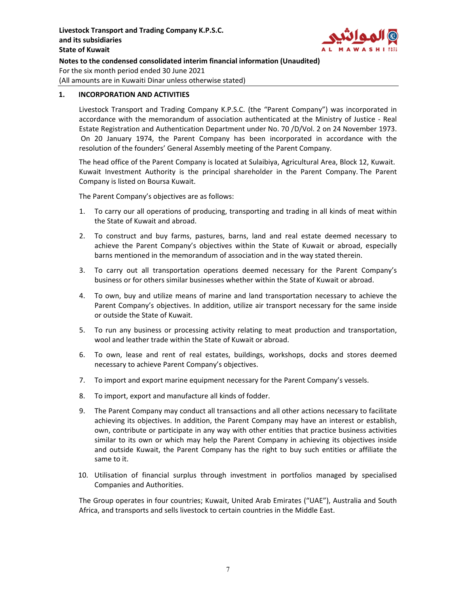

### **1. INCORPORATION AND ACTIVITIES**

Livestock Transport and Trading Company K.P.S.C. (the "Parent Company") was incorporated in accordance with the memorandum of association authenticated at the Ministry of Justice ‐ Real Estate Registration and Authentication Department under No. 70 /D/Vol. 2 on 24 November 1973. On 20 January 1974, the Parent Company has been incorporated in accordance with the resolution of the founders' General Assembly meeting of the Parent Company.

The head office of the Parent Company is located at Sulaibiya, Agricultural Area, Block 12, Kuwait. Kuwait Investment Authority is the principal shareholder in the Parent Company. The Parent Company is listed on Boursa Kuwait.

The Parent Company's objectives are as follows:

- 1. To carry our all operations of producing, transporting and trading in all kinds of meat within the State of Kuwait and abroad.
- 2. To construct and buy farms, pastures, barns, land and real estate deemed necessary to achieve the Parent Company's objectives within the State of Kuwait or abroad, especially barns mentioned in the memorandum of association and in the way stated therein.
- 3. To carry out all transportation operations deemed necessary for the Parent Company's business or for others similar businesses whether within the State of Kuwait or abroad.
- 4. To own, buy and utilize means of marine and land transportation necessary to achieve the Parent Company's objectives. In addition, utilize air transport necessary for the same inside or outside the State of Kuwait.
- 5. To run any business or processing activity relating to meat production and transportation, wool and leather trade within the State of Kuwait or abroad.
- 6. To own, lease and rent of real estates, buildings, workshops, docks and stores deemed necessary to achieve Parent Company's objectives.
- 7. To import and export marine equipment necessary for the Parent Company's vessels.
- 8. To import, export and manufacture all kinds of fodder.
- 9. The Parent Company may conduct all transactions and all other actions necessary to facilitate achieving its objectives. In addition, the Parent Company may have an interest or establish, own, contribute or participate in any way with other entities that practice business activities similar to its own or which may help the Parent Company in achieving its objectives inside and outside Kuwait, the Parent Company has the right to buy such entities or affiliate the same to it.
- 10. Utilisation of financial surplus through investment in portfolios managed by specialised Companies and Authorities.

The Group operates in four countries; Kuwait, United Arab Emirates ("UAE"), Australia and South Africa, and transports and sells livestock to certain countries in the Middle East.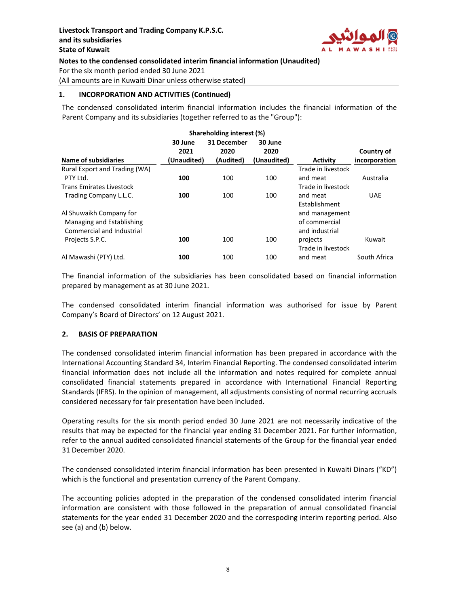

### **1. INCORPORATION AND ACTIVITIES (Continued)**

The condensed consolidated interim financial information includes the financial information of the Parent Company and its subsidiaries (together referred to as the "Group"):

|                                 |                 | Shareholding interest (%) |                 |                           |               |
|---------------------------------|-----------------|---------------------------|-----------------|---------------------------|---------------|
|                                 | 30 June<br>2021 | 31 December<br>2020       | 30 June<br>2020 |                           | Country of    |
| <b>Name of subsidiaries</b>     | (Unaudited)     | (Audited)                 | (Unaudited)     | <b>Activity</b>           | incorporation |
| Rural Export and Trading (WA)   |                 |                           |                 | Trade in livestock        |               |
| PTY Ltd.                        | 100             | 100                       | 100             | and meat                  | Australia     |
| <b>Trans Emirates Livestock</b> |                 |                           |                 | Trade in livestock        |               |
| Trading Company L.L.C.          | 100             | 100                       | 100             | and meat<br>Establishment | <b>UAE</b>    |
| Al Shuwaikh Company for         |                 |                           |                 | and management            |               |
| Managing and Establishing       |                 |                           |                 | of commercial             |               |
| Commercial and Industrial       |                 |                           |                 | and industrial            |               |
| Projects S.P.C.                 | 100             | 100                       | 100             | projects                  | Kuwait        |
|                                 |                 |                           |                 | Trade in livestock        |               |
| Al Mawashi (PTY) Ltd.           | 100             | 100                       | 100             | and meat                  | South Africa  |

The financial information of the subsidiaries has been consolidated based on financial information prepared by management as at 30 June 2021.

The condensed consolidated interim financial information was authorised for issue by Parent Company's Board of Directors' on 12 August 2021.

### **2. BASIS OF PREPARATION**

The condensed consolidated interim financial information has been prepared in accordance with the International Accounting Standard 34, Interim Financial Reporting. The condensed consolidated interim financial information does not include all the information and notes required for complete annual consolidated financial statements prepared in accordance with International Financial Reporting Standards (IFRS). In the opinion of management, all adjustments consisting of normal recurring accruals considered necessary for fair presentation have been included.

Operating results for the six month period ended 30 June 2021 are not necessarily indicative of the results that may be expected for the financial year ending 31 December 2021. For further information, refer to the annual audited consolidated financial statements of the Group for the financial year ended 31 December 2020.

The condensed consolidated interim financial information has been presented in Kuwaiti Dinars ("KD") which is the functional and presentation currency of the Parent Company.

The accounting policies adopted in the preparation of the condensed consolidated interim financial information are consistent with those followed in the preparation of annual consolidated financial statements for the year ended 31 December 2020 and the correspoding interim reporting period. Also see (a) and (b) below.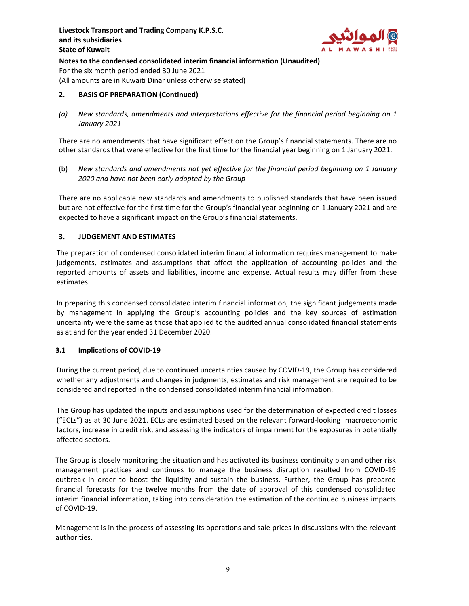

## **2. BASIS OF PREPARATION (Continued)**

*(a) New standards, amendments and interpretations effective for the financial period beginning on 1 January 2021*

There are no amendments that have significant effect on the Group's financial statements. There are no other standards that were effective for the first time for the financial year beginning on 1 January 2021.

(b) *New standards and amendments not yet effective for the financial period beginning on 1 January 2020 and have not been early adopted by the Group*

There are no applicable new standards and amendments to published standards that have been issued but are not effective for the first time for the Group's financial year beginning on 1 January 2021 and are expected to have a significant impact on the Group's financial statements.

## **3. JUDGEMENT AND ESTIMATES**

The preparation of condensed consolidated interim financial information requires management to make judgements, estimates and assumptions that affect the application of accounting policies and the reported amounts of assets and liabilities, income and expense. Actual results may differ from these estimates.

In preparing this condensed consolidated interim financial information, the significant judgements made by management in applying the Group's accounting policies and the key sources of estimation uncertainty were the same as those that applied to the audited annual consolidated financial statements as at and for the year ended 31 December 2020.

## **3.1 Implications of COVID‐19**

During the current period, due to continued uncertainties caused by COVID‐19, the Group has considered whether any adjustments and changes in judgments, estimates and risk management are required to be considered and reported in the condensed consolidated interim financial information.

The Group has updated the inputs and assumptions used for the determination of expected credit losses ("ECLs") as at 30 June 2021. ECLs are estimated based on the relevant forward‐looking macroeconomic factors, increase in credit risk, and assessing the indicators of impairment for the exposures in potentially affected sectors.

The Group is closely monitoring the situation and has activated its business continuity plan and other risk management practices and continues to manage the business disruption resulted from COVID‐19 outbreak in order to boost the liquidity and sustain the business. Further, the Group has prepared financial forecasts for the twelve months from the date of approval of this condensed consolidated interim financial information, taking into consideration the estimation of the continued business impacts of COVID‐19.

Management is in the process of assessing its operations and sale prices in discussions with the relevant authorities.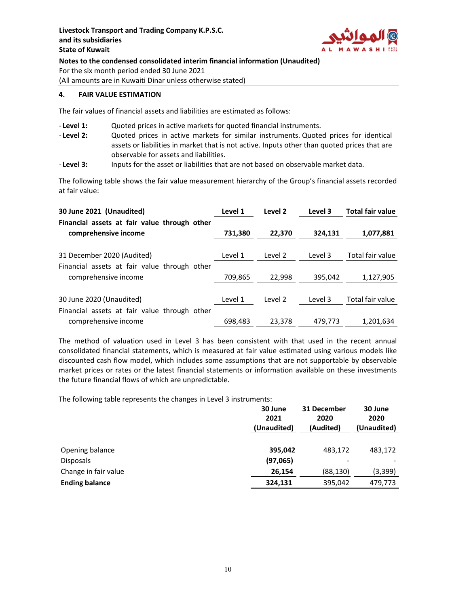

### **4. FAIR VALUE ESTIMATION**

The fair values of financial assets and liabilities are estimated as follows:

- ‐ **Level 1:** Quoted prices in active markets for quoted financial instruments.
- ‐ **Level 2:** Quoted prices in active markets for similar instruments. Quoted prices for identical assets or liabilities in market that is not active. Inputs other than quoted prices that are observable for assets and liabilities.
- ‐ **Level 3:** Inputs for the asset or liabilities that are not based on observable market data.

The following table shows the fair value measurement hierarchy of the Group's financial assets recorded at fair value:

| 30 June 2021 (Unaudited)                     | Level 1 | Level 2 | Level 3 | <b>Total fair value</b> |
|----------------------------------------------|---------|---------|---------|-------------------------|
| Financial assets at fair value through other |         |         |         |                         |
| comprehensive income                         | 731,380 | 22,370  | 324,131 | 1,077,881               |
|                                              |         |         |         |                         |
| 31 December 2020 (Audited)                   | Level 1 | Level 2 | Level 3 | Total fair value        |
| Financial assets at fair value through other |         |         |         |                         |
| comprehensive income                         | 709,865 | 22,998  | 395,042 | 1,127,905               |
|                                              |         |         |         |                         |
| 30 June 2020 (Unaudited)                     | Level 1 | Level 2 | Level 3 | Total fair value        |
| Financial assets at fair value through other |         |         |         |                         |
| comprehensive income                         | 698.483 | 23.378  | 479,773 | 1,201,634               |

The method of valuation used in Level 3 has been consistent with that used in the recent annual consolidated financial statements, which is measured at fair value estimated using various models like discounted cash flow model, which includes some assumptions that are not supportable by observable market prices or rates or the latest financial statements or information available on these investments the future financial flows of which are unpredictable.

The following table represents the changes in Level 3 instruments:

|                       | 30 June<br>2021<br>(Unaudited) | 31 December<br>2020<br>(Audited) | 30 June<br>2020<br>(Unaudited) |
|-----------------------|--------------------------------|----------------------------------|--------------------------------|
|                       |                                |                                  |                                |
| Opening balance       | 395,042                        | 483,172                          | 483,172                        |
| <b>Disposals</b>      | (97,065)                       | -                                |                                |
| Change in fair value  | 26,154                         | (88, 130)                        | (3, 399)                       |
| <b>Ending balance</b> | 324,131                        | 395,042                          | 479,773                        |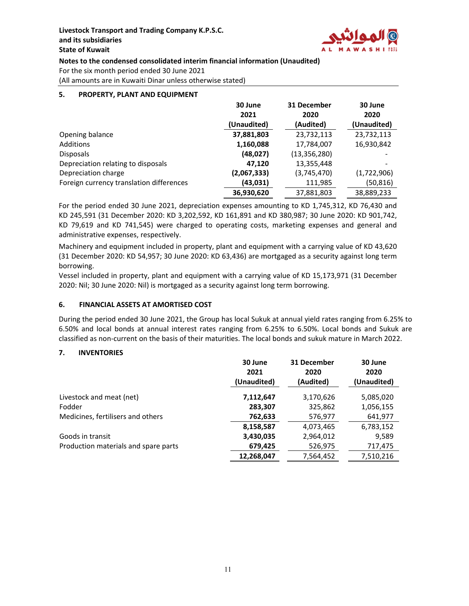

# **Notes to the condensed consolidated interim financial information (Unaudited)**

For the six month period ended 30 June 2021

(All amounts are in Kuwaiti Dinar unless otherwise stated)

## **5. PROPERTY, PLANT AND EQUIPMENT**

|                                          | 30 June     | 31 December    | 30 June     |
|------------------------------------------|-------------|----------------|-------------|
|                                          | 2021        | 2020           | 2020        |
|                                          | (Unaudited) | (Audited)      | (Unaudited) |
| Opening balance                          | 37,881,803  | 23,732,113     | 23,732,113  |
| Additions                                | 1,160,088   | 17,784,007     | 16,930,842  |
| <b>Disposals</b>                         | (48, 027)   | (13, 356, 280) |             |
| Depreciation relating to disposals       | 47.120      | 13,355,448     |             |
| Depreciation charge                      | (2,067,333) | (3,745,470)    | (1,722,906) |
| Foreign currency translation differences | (43,031)    | 111,985        | (50, 816)   |
|                                          | 36,930,620  | 37,881,803     | 38,889,233  |

For the period ended 30 June 2021, depreciation expenses amounting to KD 1,745,312, KD 76,430 and KD 245,591 (31 December 2020: KD 3,202,592, KD 161,891 and KD 380,987; 30 June 2020: KD 901,742, KD 79,619 and KD 741,545) were charged to operating costs, marketing expenses and general and administrative expenses, respectively.

Machinery and equipment included in property, plant and equipment with a carrying value of KD 43,620 (31 December 2020: KD 54,957; 30 June 2020: KD 63,436) are mortgaged as a security against long term borrowing.

Vessel included in property, plant and equipment with a carrying value of KD 15,173,971 (31 December 2020: Nil; 30 June 2020: Nil) is mortgaged as a security against long term borrowing.

### **6. FINANCIAL ASSETS AT AMORTISED COST**

During the period ended 30 June 2021, the Group has local Sukuk at annual yield rates ranging from 6.25% to 6.50% and local bonds at annual interest rates ranging from 6.25% to 6.50%. Local bonds and Sukuk are classified as non‐current on the basis of their maturities. The local bonds and sukuk mature in March 2022.

### **7. INVENTORIES**

|                                      | 30 June<br>2021<br>(Unaudited) | 31 December<br>2020<br>(Audited) | 30 June<br>2020<br>(Unaudited) |
|--------------------------------------|--------------------------------|----------------------------------|--------------------------------|
| Livestock and meat (net)             | 7,112,647                      | 3,170,626                        | 5,085,020                      |
| Fodder                               | 283,307                        | 325,862                          | 1,056,155                      |
| Medicines, fertilisers and others    | 762,633                        | 576,977                          | 641,977                        |
|                                      | 8,158,587                      | 4,073,465                        | 6,783,152                      |
| Goods in transit                     | 3,430,035                      | 2,964,012                        | 9,589                          |
| Production materials and spare parts | 679,425                        | 526,975                          | 717,475                        |
|                                      | 12,268,047                     | 7,564,452                        | 7,510,216                      |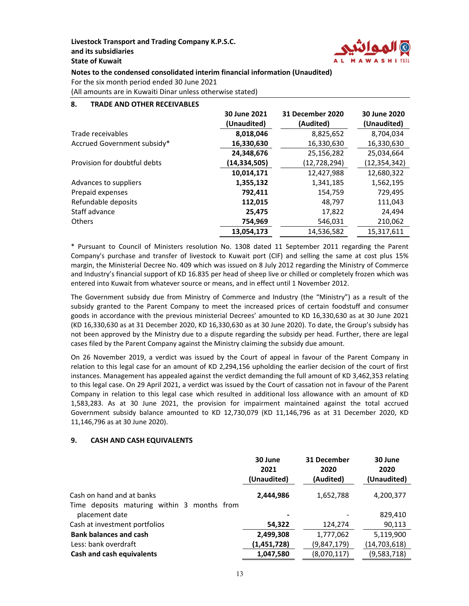

# **Notes to the condensed consolidated interim financial information (Unaudited)**

For the six month period ended 30 June 2021

(All amounts are in Kuwaiti Dinar unless otherwise stated)

### **8. TRADE AND OTHER RECEIVABLES**

|                              | 30 June 2021<br>(Unaudited) | <b>31 December 2020</b><br>(Audited) | 30 June 2020<br>(Unaudited) |
|------------------------------|-----------------------------|--------------------------------------|-----------------------------|
| Trade receivables            | 8,018,046                   | 8,825,652                            | 8,704,034                   |
| Accrued Government subsidy*  | 16,330,630                  | 16,330,630                           | 16,330,630                  |
|                              | 24,348,676                  | 25,156,282                           | 25,034,664                  |
| Provision for doubtful debts | (14,334,505)                | (12,728,294)                         | (12, 354, 342)              |
|                              | 10,014,171                  | 12,427,988                           | 12,680,322                  |
| Advances to suppliers        | 1,355,132                   | 1,341,185                            | 1,562,195                   |
| Prepaid expenses             | 792,411                     | 154,759                              | 729,495                     |
| Refundable deposits          | 112,015                     | 48,797                               | 111,043                     |
| Staff advance                | 25.475                      | 17,822                               | 24,494                      |
| <b>Others</b>                | 754,969                     | 546,031                              | 210,062                     |
|                              | 13,054,173                  | 14,536,582                           | 15,317,611                  |

\* Pursuant to Council of Ministers resolution No. 1308 dated 11 September 2011 regarding the Parent Company's purchase and transfer of livestock to Kuwait port (CIF) and selling the same at cost plus 15% margin, the Ministerial Decree No. 409 which was issued on 8 July 2012 regarding the Ministry of Commerce and Industry's financial support of KD 16.835 per head of sheep live or chilled or completely frozen which was entered into Kuwait from whatever source or means, and in effect until 1 November 2012.

The Government subsidy due from Ministry of Commerce and Industry (the "Ministry") as a result of the subsidy granted to the Parent Company to meet the increased prices of certain foodstuff and consumer goods in accordance with the previous ministerial Decrees' amounted to KD 16,330,630 as at 30 June 2021 (KD 16,330,630 as at 31 December 2020, KD 16,330,630 as at 30 June 2020). To date, the Group's subsidy has not been approved by the Ministry due to a dispute regarding the subsidy per head. Further, there are legal cases filed by the Parent Company against the Ministry claiming the subsidy due amount.

On 26 November 2019, a verdict was issued by the Court of appeal in favour of the Parent Company in relation to this legal case for an amount of KD 2,294,156 upholding the earlier decision of the court of first instances. Management has appealed against the verdict demanding the full amount of KD 3,462,353 relating to this legal case. On 29 April 2021, a verdict was issued by the Court of cassation not in favour of the Parent Company in relation to this legal case which resulted in additional loss allowance with an amount of KD 1,583,283. As at 30 June 2021, the provision for impairment maintained against the total accrued Government subsidy balance amounted to KD 12,730,079 (KD 11,146,796 as at 31 December 2020, KD 11,146,796 as at 30 June 2020).

## **9. CASH AND CASH EQUIVALENTS**

|                                             | 30 June<br>2021<br>(Unaudited) | 31 December<br>2020<br>(Audited) | 30 June<br>2020<br>(Unaudited) |
|---------------------------------------------|--------------------------------|----------------------------------|--------------------------------|
| Cash on hand and at banks                   | 2,444,986                      | 1,652,788                        | 4,200,377                      |
| Time deposits maturing within 3 months from |                                |                                  |                                |
| placement date                              |                                |                                  | 829,410                        |
| Cash at investment portfolios               | 54,322                         | 124,274                          | 90,113                         |
| <b>Bank balances and cash</b>               | 2,499,308                      | 1,777,062                        | 5,119,900                      |
| Less: bank overdraft                        | (1,451,728)                    | (9,847,179)                      | (14, 703, 618)                 |
| <b>Cash and cash equivalents</b>            | 1,047,580                      | (8,070,117)                      | (9,583,718)                    |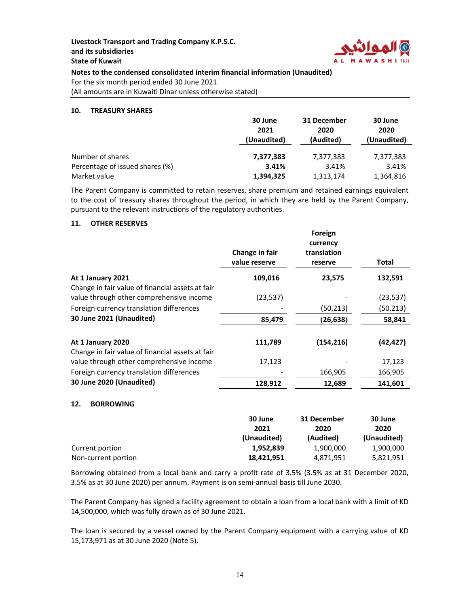

**Notes to the condensed consolidated interim financial information (Unaudited)**

For the six month period ended 30 June 2021

(All amounts are in Kuwaiti Dinar unless otherwise stated)

### **10. TREASURY SHARES**

|                                 | 30 June     | 31 December | 30 June     |
|---------------------------------|-------------|-------------|-------------|
|                                 | 2021        | 2020        | 2020        |
|                                 | (Unaudited) | (Audited)   | (Unaudited) |
|                                 |             |             |             |
| Number of shares                | 7,377,383   | 7,377,383   | 7,377,383   |
| Percentage of issued shares (%) | 3.41%       | 3.41%       | 3.41%       |
| Market value                    | 1,394,325   | 1,313,174   | 1,364,816   |

The Parent Company is committed to retain reserves, share premium and retained earnings equivalent to the cost of treasury shares throughout the period, in which they are held by the Parent Company, pursuant to the relevant instructions of the regulatory authorities.

## **11. OTHER RESERVES**

|                                                  | Change in fair<br>value reserve | Foreign<br>currency<br>translation<br>reserve | Total     |
|--------------------------------------------------|---------------------------------|-----------------------------------------------|-----------|
| At 1 January 2021                                | 109,016                         | 23,575                                        | 132,591   |
| Change in fair value of financial assets at fair |                                 |                                               |           |
| value through other comprehensive income         | (23, 537)                       |                                               | (23, 537) |
| Foreign currency translation differences         |                                 | (50,213)                                      | (50, 213) |
| 30 June 2021 (Unaudited)                         | 85,479                          | (26, 638)                                     | 58,841    |
| At 1 January 2020                                | 111,789                         | (154, 216)                                    | (42, 427) |
| Change in fair value of financial assets at fair |                                 |                                               |           |
| value through other comprehensive income         | 17,123                          |                                               | 17,123    |
| Foreign currency translation differences         |                                 | 166,905                                       | 166,905   |
| 30 June 2020 (Unaudited)                         | 128,912                         | 12,689                                        | 141,601   |

### **12. BORROWING**

|                     | 30 June<br>2021 | 31 December<br>2020 | 30 June<br>2020 |
|---------------------|-----------------|---------------------|-----------------|
|                     | (Unaudited)     | (Audited)           | (Unaudited)     |
| Current portion     | 1.952.839       | 1,900,000           | 1,900,000       |
| Non-current portion | 18,421,951      | 4,871,951           | 5,821,951       |

Borrowing obtained from a local bank and carry a profit rate of 3.5% (3.5% as at 31 December 2020, 3.5% as at 30 June 2020) per annum. Payment is on semi‐annual basis till June 2030.

The Parent Company has signed a facility agreement to obtain a loan from a local bank with a limit of KD 14,500,000, which was fully drawn as of 30 June 2021.

The loan is secured by a vessel owned by the Parent Company equipment with a carrying value of KD 15,173,971 as at 30 June 2020 (Note 5).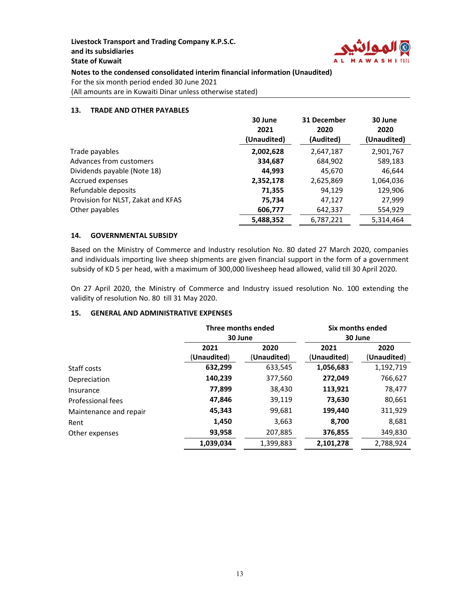

**Notes to the condensed consolidated interim financial information (Unaudited)**

For the six month period ended 30 June 2021

(All amounts are in Kuwaiti Dinar unless otherwise stated)

### **13. TRADE AND OTHER PAYABLES**

|                                    | 30 June<br>2021 | 31 December<br>2020 | 30 June<br>2020 |
|------------------------------------|-----------------|---------------------|-----------------|
|                                    | (Unaudited)     | (Audited)           | (Unaudited)     |
| Trade payables                     | 2,002,628       | 2,647,187           | 2,901,767       |
| Advances from customers            | 334,687         | 684,902             | 589,183         |
| Dividends payable (Note 18)        | 44,993          | 45,670              | 46,644          |
| Accrued expenses                   | 2,352,178       | 2,625,869           | 1,064,036       |
| Refundable deposits                | 71,355          | 94,129              | 129,906         |
| Provision for NLST, Zakat and KFAS | 75,734          | 47,127              | 27,999          |
| Other payables                     | 606,777         | 642,337             | 554,929         |
|                                    | 5,488,352       | 6,787,221           | 5,314,464       |

## **14. GOVERNMENTAL SUBSIDY**

Based on the Ministry of Commerce and Industry resolution No. 80 dated 27 March 2020, companies and individuals importing live sheep shipments are given financial support in the form of a government subsidy of KD 5 per head, with a maximum of 300,000 livesheep head allowed, valid till 30 April 2020.

On 27 April 2020, the Ministry of Commerce and Industry issued resolution No. 100 extending the validity of resolution No. 80 till 31 May 2020.

## **15. GENERAL AND ADMINISTRATIVE EXPENSES**

|                        | Three months ended<br>30 June |                     | Six months ended<br>30 June |                     |  |
|------------------------|-------------------------------|---------------------|-----------------------------|---------------------|--|
|                        | 2021<br>(Unaudited)           | 2020<br>(Unaudited) | 2021<br>(Unaudited)         | 2020<br>(Unaudited) |  |
| Staff costs            | 632,299                       | 633,545             | 1,056,683                   | 1,192,719           |  |
| Depreciation           | 140,239                       | 377,560             | 272,049                     | 766,627             |  |
| Insurance              | 77,899                        | 38,430              | 113,921                     | 78,477              |  |
| Professional fees      | 47,846                        | 39,119              | 73,630                      | 80,661              |  |
| Maintenance and repair | 45,343                        | 99,681              | 199,440                     | 311,929             |  |
| Rent                   | 1,450                         | 3,663               | 8,700                       | 8,681               |  |
| Other expenses         | 93,958                        | 207,885             | 376,855                     | 349,830             |  |
|                        | 1,039,034                     | 1,399,883           | 2,101,278                   | 2.788.924           |  |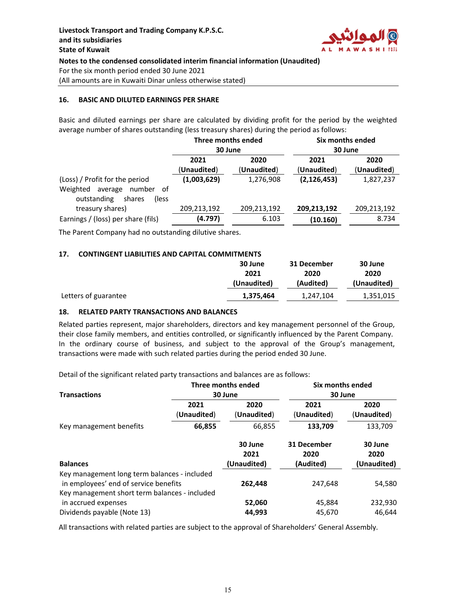

### **16. BASIC AND DILUTED EARNINGS PER SHARE**

Basic and diluted earnings per share are calculated by dividing profit for the period by the weighted average number of shares outstanding (less treasury shares) during the period as follows:

|                                                                                                       | Three months ended<br>30 June |                     | Six months ended<br>30 June |                     |
|-------------------------------------------------------------------------------------------------------|-------------------------------|---------------------|-----------------------------|---------------------|
|                                                                                                       | 2021<br>(Unaudited)           | 2020<br>(Unaudited) | 2021<br>(Unaudited)         | 2020<br>(Unaudited) |
| (Loss) / Profit for the period<br>Weighted<br>number of<br>average<br>outstanding<br>shares<br>(less) | (1,003,629)                   | 1,276,908           | (2, 126, 453)               | 1,827,237           |
| treasury shares)                                                                                      | 209,213,192                   | 209,213,192         | 209,213,192                 | 209,213,192         |
| Earnings / (loss) per share (fils)                                                                    | (4.797)                       | 6.103               | (10.160)                    | 8.734               |

The Parent Company had no outstanding dilutive shares.

### **17. CONTINGENT LIABILITIES AND CAPITAL COMMITMENTS**

|                      | 30 June     | 31 December | 30 June     |
|----------------------|-------------|-------------|-------------|
|                      | 2021        | 2020        | 2020        |
|                      | (Unaudited) | (Audited)   | (Unaudited) |
| Letters of guarantee | 1,375,464   | 1,247,104   | 1,351,015   |

### **18. RELATED PARTY TRANSACTIONS AND BALANCES**

Related parties represent, major shareholders, directors and key management personnel of the Group, their close family members, and entities controlled, or significantly influenced by the Parent Company. In the ordinary course of business, and subject to the approval of the Group's management, transactions were made with such related parties during the period ended 30 June.

Detail of the significant related party transactions and balances are as follows:

| <b>Transactions</b>                                                                                                                    |                     | Three months ended<br>30 June  | Six months ended<br>30 June      |                                |  |
|----------------------------------------------------------------------------------------------------------------------------------------|---------------------|--------------------------------|----------------------------------|--------------------------------|--|
|                                                                                                                                        | 2021<br>(Unaudited) | 2020<br>(Unaudited)            | 2021<br>(Unaudited)              | 2020<br>(Unaudited)            |  |
| Key management benefits                                                                                                                | 66,855              | 66,855                         | 133,709                          | 133,709                        |  |
| <b>Balances</b>                                                                                                                        |                     | 30 June<br>2021<br>(Unaudited) | 31 December<br>2020<br>(Audited) | 30 June<br>2020<br>(Unaudited) |  |
| Key management long term balances - included<br>in employees' end of service benefits<br>Key management short term balances - included |                     | 262,448                        | 247,648                          | 54,580                         |  |
| in accrued expenses<br>Dividends payable (Note 13)                                                                                     |                     | 52,060<br>44,993               | 45,884<br>45,670                 | 232,930<br>46.644              |  |

All transactions with related parties are subject to the approval of Shareholders' General Assembly.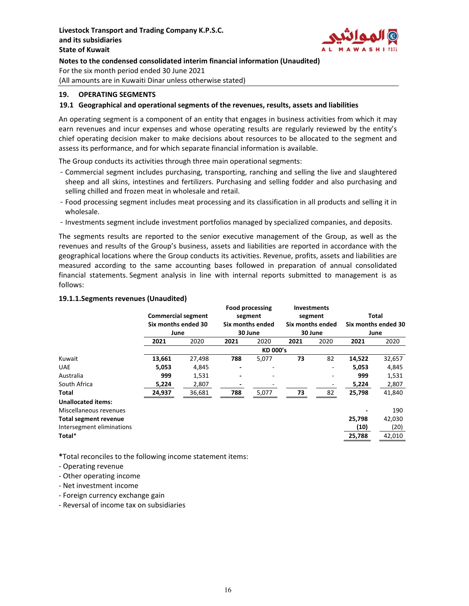

### **19. OPERATING SEGMENTS**

### **19.1 Geographical and operational segments of the revenues, results, assets and liabilities**

An operating segment is a component of an entity that engages in business activities from which it may earn revenues and incur expenses and whose operating results are regularly reviewed by the entity's chief operating decision maker to make decisions about resources to be allocated to the segment and assess its performance, and for which separate financial information is available.

The Group conducts its activities through three main operational segments:

- Commercial segment includes purchasing, transporting, ranching and selling the live and slaughtered sheep and all skins, intestines and fertilizers. Purchasing and selling fodder and also purchasing and selling chilled and frozen meat in wholesale and retail.
- Food processing segment includes meat processing and its classification in all products and selling it in wholesale.
- Investments segment include investment portfolios managed by specialized companies, and deposits.

The segments results are reported to the senior executive management of the Group, as well as the revenues and results of the Group's business, assets and liabilities are reported in accordance with the geographical locations where the Group conducts its activities. Revenue, profits, assets and liabilities are measured according to the same accounting bases followed in preparation of annual consolidated financial statements. Segment analysis in line with internal reports submitted to management is as follows:

### **19.1.1.Segments revenues (Unaudited)**

|                           | <b>Commercial segment</b><br>Six months ended 30<br>June |        | <b>Food processing</b><br>segment<br>Six months ended<br>30 June |                 | <b>Investments</b><br>segment<br>Six months ended<br>30 June |      | <b>Total</b><br>Six months ended 30<br>June |        |
|---------------------------|----------------------------------------------------------|--------|------------------------------------------------------------------|-----------------|--------------------------------------------------------------|------|---------------------------------------------|--------|
|                           | 2021                                                     | 2020   | 2021                                                             | 2020            | 2021                                                         | 2020 | 2021                                        | 2020   |
|                           |                                                          |        |                                                                  | <b>KD 000's</b> |                                                              |      |                                             |        |
| Kuwait                    | 13,661                                                   | 27,498 | 788                                                              | 5,077           | 73                                                           | 82   | 14,522                                      | 32,657 |
| <b>UAE</b>                | 5,053                                                    | 4,845  |                                                                  | ۰               |                                                              |      | 5,053                                       | 4,845  |
| Australia                 | 999                                                      | 1,531  | $\overline{\phantom{a}}$                                         | -               |                                                              |      | 999                                         | 1,531  |
| South Africa              | 5,224                                                    | 2,807  |                                                                  |                 |                                                              |      | 5,224                                       | 2,807  |
| Total                     | 24,937                                                   | 36,681 | 788                                                              | 5,077           | 73                                                           | 82   | 25,798                                      | 41,840 |
| <b>Unallocated items:</b> |                                                          |        |                                                                  |                 |                                                              |      |                                             |        |
| Miscellaneous revenues    |                                                          |        |                                                                  |                 |                                                              |      |                                             | 190    |
| Total segment revenue     |                                                          |        |                                                                  |                 |                                                              |      | 25,798                                      | 42,030 |
| Intersegment eliminations |                                                          |        |                                                                  |                 |                                                              |      | (10)                                        | (20)   |
| Total*                    |                                                          |        |                                                                  |                 |                                                              |      | 25,788                                      | 42,010 |

**\***Total reconciles to the following income statement items:

- ‐ Operating revenue
- ‐ Other operating income
- ‐ Net investment income
- ‐ Foreign currency exchange gain
- ‐ Reversal of income tax on subsidiaries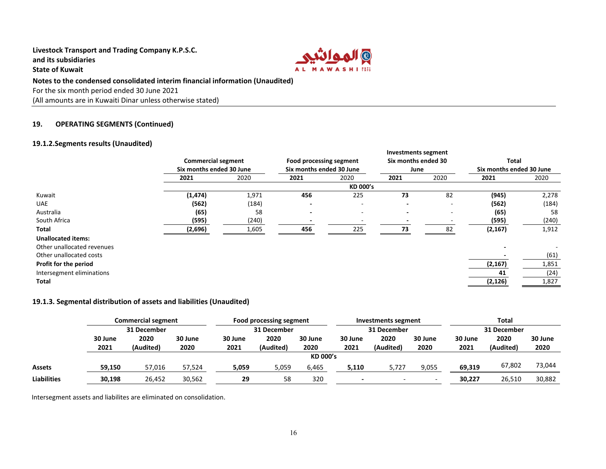

#### **Notes to the condensed consolidated interim financial information (Unaudited)**

For the six month period ended 30 June 2021

(All amounts are in Kuwaiti Dinar unless otherwise stated)

#### **19.OPERATING SEGMENTS (Continued)**

## **19.1.2.Segments results (Unaudited)**

|                            |                           |       |                          |                          | Investments segment |                          |          |                          |  |
|----------------------------|---------------------------|-------|--------------------------|--------------------------|---------------------|--------------------------|----------|--------------------------|--|
|                            | <b>Commercial segment</b> |       | Food processing segment  |                          | Six months ended 30 |                          | Total    |                          |  |
|                            | Six months ended 30 June  |       | Six months ended 30 June |                          | June                |                          |          | Six months ended 30 June |  |
|                            | 2021                      | 2020  | 2021                     | 2020                     | 2021                | 2020                     | 2021     | 2020                     |  |
|                            |                           |       |                          | KD 000's                 |                     |                          |          |                          |  |
| Kuwait                     | (1, 474)                  | 1,971 | 456                      | 225                      | 73                  | 82                       | (945)    | 2,278                    |  |
| <b>UAE</b>                 | (562)                     | (184) |                          | $\overline{\phantom{a}}$ |                     | $\overline{\phantom{0}}$ | (562)    | (184)                    |  |
| Australia                  | (65)                      | 58    | $\overline{\phantom{0}}$ |                          |                     | ۰                        | (65)     | 58                       |  |
| South Africa               | (595)                     | (240) |                          |                          |                     |                          | (595)    | (240)                    |  |
| Total                      | (2,696)                   | 1,605 | 456                      | 225                      | 73                  | 82                       | (2, 167) | 1,912                    |  |
| <b>Unallocated items:</b>  |                           |       |                          |                          |                     |                          |          |                          |  |
| Other unallocated revenues |                           |       |                          |                          |                     |                          |          |                          |  |
| Other unallocated costs    |                           |       |                          |                          |                     |                          |          | (61)                     |  |
| Profit for the period      |                           |       |                          |                          |                     |                          | (2, 167) | 1,851                    |  |
| Intersegment eliminations  |                           |       |                          |                          |                     |                          | 41       | (24)                     |  |
| Total                      |                           |       |                          |                          |                     |                          | (2, 126) | 1,827                    |  |

### **19.1.3. Segmental distribution of assets and liabilities (Unaudited)**

|                    |                 | <b>Commercial segment</b> |                 | Food processing segment |                   | Investments segment |                 | Total             |                 |                 |                   |                 |
|--------------------|-----------------|---------------------------|-----------------|-------------------------|-------------------|---------------------|-----------------|-------------------|-----------------|-----------------|-------------------|-----------------|
|                    | 31 December     |                           |                 | 31 December             |                   |                     | 31 December     |                   |                 | 31 December     |                   |                 |
|                    | 30 June<br>2021 | 2020<br>(Audited)         | 30 June<br>2020 | 30 June<br>2021         | 2020<br>(Audited) | 30 June<br>2020     | 30 June<br>2021 | 2020<br>(Audited) | 30 June<br>2020 | 30 June<br>2021 | 2020<br>(Audited) | 30 June<br>2020 |
|                    |                 |                           |                 |                         |                   | <b>KD 000's</b>     |                 |                   |                 |                 |                   |                 |
| <b>Assets</b>      | 59,150          | 57,016                    | 57,524          | 5,059                   | 5,059             | 6,465               | 5,110           | 5,727             | 9,055           | 69,319          | 67,802            | 73,044          |
| <b>Liabilities</b> | 30,198          | 26,452                    | 30,562          | 29                      | 58                | 320                 |                 |                   |                 | 30,227          | 26,510            | 30,882          |

Intersegment assets and liabilites are eliminated on consolidation.